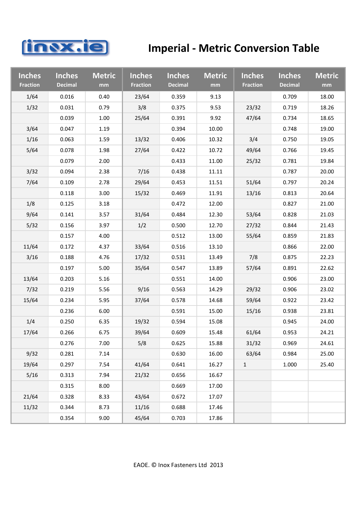

## **Imperial ‐ Metric Conversion Table**

| <b>Inches</b><br><b>Fraction</b> | <b>Inches</b><br><b>Decimal</b> | <b>Metric</b><br>mm | <b>Inches</b><br><b>Fraction</b> | <b>Inches</b><br><b>Decimal</b> | <b>Metric</b><br>mm | <b>Inches</b><br><b>Fraction</b> | <b>Inches</b><br><b>Decimal</b> | <b>Metric</b><br>mm |
|----------------------------------|---------------------------------|---------------------|----------------------------------|---------------------------------|---------------------|----------------------------------|---------------------------------|---------------------|
| 1/64                             | 0.016                           | 0.40                | 23/64                            | 0.359                           | 9.13                |                                  | 0.709                           | 18.00               |
| 1/32                             | 0.031                           | 0.79                | 3/8                              | 0.375                           | 9.53                | 23/32                            | 0.719                           | 18.26               |
|                                  | 0.039                           | 1.00                | 25/64                            | 0.391                           | 9.92                | 47/64                            | 0.734                           | 18.65               |
| 3/64                             | 0.047                           | 1.19                |                                  | 0.394                           | 10.00               |                                  | 0.748                           | 19.00               |
| 1/16                             | 0.063                           | 1.59                | 13/32                            | 0.406                           | 10.32               | 3/4                              | 0.750                           | 19.05               |
| 5/64                             | 0.078                           | 1.98                | 27/64                            | 0.422                           | 10.72               | 49/64                            | 0.766                           | 19.45               |
|                                  | 0.079                           | 2.00                |                                  | 0.433                           | 11.00               | 25/32                            | 0.781                           | 19.84               |
| 3/32                             | 0.094                           | 2.38                | 7/16                             | 0.438                           | 11.11               |                                  | 0.787                           | 20.00               |
| 7/64                             | 0.109                           | 2.78                | 29/64                            | 0.453                           | 11.51               | 51/64                            | 0.797                           | 20.24               |
|                                  | 0.118                           | 3.00                | 15/32                            | 0.469                           | 11.91               | 13/16                            | 0.813                           | 20.64               |
| 1/8                              | 0.125                           | 3.18                |                                  | 0.472                           | 12.00               |                                  | 0.827                           | 21.00               |
| 9/64                             | 0.141                           | 3.57                | 31/64                            | 0.484                           | 12.30               | 53/64                            | 0.828                           | 21.03               |
| 5/32                             | 0.156                           | 3.97                | 1/2                              | 0.500                           | 12.70               | 27/32                            | 0.844                           | 21.43               |
|                                  | 0.157                           | 4.00                |                                  | 0.512                           | 13.00               | 55/64                            | 0.859                           | 21.83               |
| 11/64                            | 0.172                           | 4.37                | 33/64                            | 0.516                           | 13.10               |                                  | 0.866                           | 22.00               |
| 3/16                             | 0.188                           | 4.76                | 17/32                            | 0.531                           | 13.49               | 7/8                              | 0.875                           | 22.23               |
|                                  | 0.197                           | 5.00                | 35/64                            | 0.547                           | 13.89               | 57/64                            | 0.891                           | 22.62               |
| 13/64                            | 0.203                           | 5.16                |                                  | 0.551                           | 14.00               |                                  | 0.906                           | 23.00               |
| 7/32                             | 0.219                           | 5.56                | 9/16                             | 0.563                           | 14.29               | 29/32                            | 0.906                           | 23.02               |
| 15/64                            | 0.234                           | 5.95                | 37/64                            | 0.578                           | 14.68               | 59/64                            | 0.922                           | 23.42               |
|                                  | 0.236                           | 6.00                |                                  | 0.591                           | 15.00               | 15/16                            | 0.938                           | 23.81               |
| 1/4                              | 0.250                           | 6.35                | 19/32                            | 0.594                           | 15.08               |                                  | 0.945                           | 24.00               |
| 17/64                            | 0.266                           | 6.75                | 39/64                            | 0.609                           | 15.48               | 61/64                            | 0.953                           | 24.21               |
|                                  | 0.276                           | 7.00                | 5/8                              | 0.625                           | 15.88               | 31/32                            | 0.969                           | 24.61               |
| 9/32                             | 0.281                           | 7.14                |                                  | 0.630                           | 16.00               | 63/64                            | 0.984                           | 25.00               |
| 19/64                            | 0.297                           | 7.54                | 41/64                            | 0.641                           | 16.27               | $1\,$                            | 1.000                           | 25.40               |
| 5/16                             | 0.313                           | 7.94                | 21/32                            | 0.656                           | 16.67               |                                  |                                 |                     |
|                                  | 0.315                           | 8.00                |                                  | 0.669                           | 17.00               |                                  |                                 |                     |
| 21/64                            | 0.328                           | 8.33                | 43/64                            | 0.672                           | 17.07               |                                  |                                 |                     |
| 11/32                            | 0.344                           | 8.73                | 11/16                            | 0.688                           | 17.46               |                                  |                                 |                     |
|                                  | 0.354                           | 9.00                | 45/64                            | 0.703                           | 17.86               |                                  |                                 |                     |